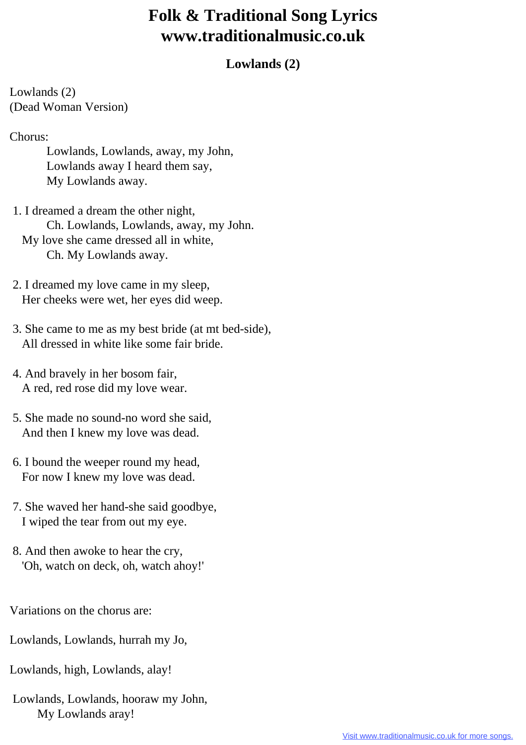## **Folk & Traditional Song Lyrics www.traditionalmusic.co.uk**

## **Lowlands (2)**

Lowlands (2) (Dead Woman Version)

Chorus:

 Lowlands, Lowlands, away, my John, Lowlands away I heard them say, My Lowlands away.

 1. I dreamed a dream the other night, Ch. Lowlands, Lowlands, away, my John. My love she came dressed all in white, Ch. My Lowlands away.

 2. I dreamed my love came in my sleep, Her cheeks were wet, her eyes did weep.

- 3. She came to me as my best bride (at mt bed-side), All dressed in white like some fair bride.
- 4. And bravely in her bosom fair, A red, red rose did my love wear.
- 5. She made no sound-no word she said, And then I knew my love was dead.
- 6. I bound the weeper round my head, For now I knew my love was dead.
- 7. She waved her hand-she said goodbye, I wiped the tear from out my eye.
- 8. And then awoke to hear the cry, 'Oh, watch on deck, oh, watch ahoy!'

Variations on the chorus are:

Lowlands, Lowlands, hurrah my Jo,

- Lowlands, high, Lowlands, alay!
- Lowlands, Lowlands, hooraw my John, My Lowlands aray!